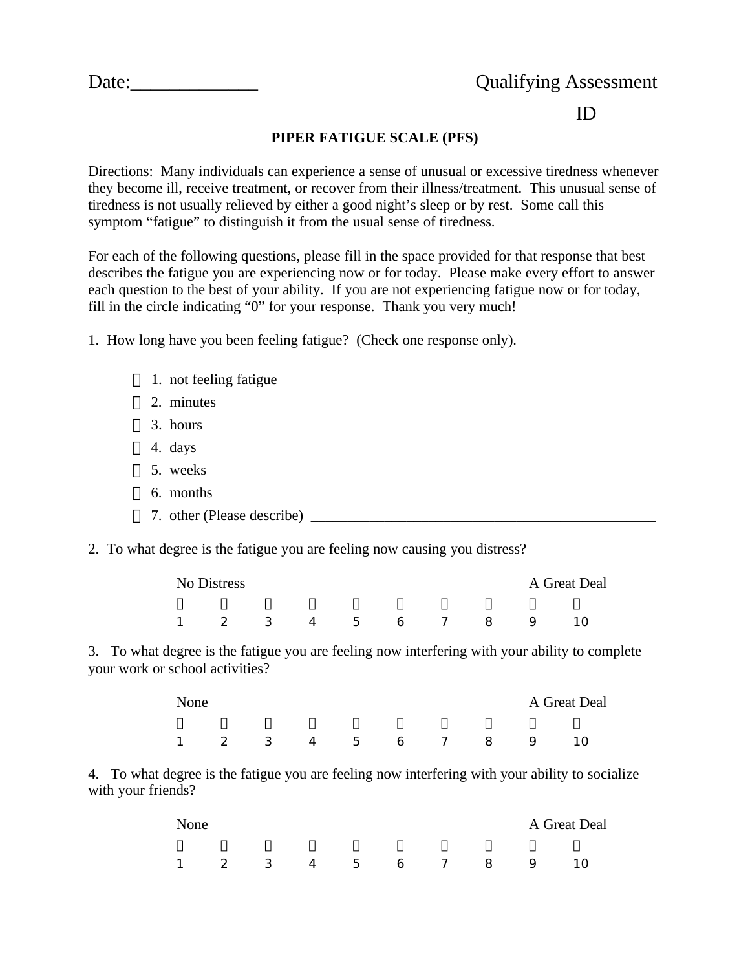|--|

## ID

## **PIPER FATIGUE SCALE (PFS)**

Directions: Many individuals can experience a sense of unusual or excessive tiredness whenever they become ill, receive treatment, or recover from their illness/treatment. This unusual sense of tiredness is not usually relieved by either a good night's sleep or by rest. Some call this symptom "fatigue" to distinguish it from the usual sense of tiredness.

For each of the following questions, please fill in the space provided for that response that best describes the fatigue you are experiencing now or for today. Please make every effort to answer each question to the best of your ability. If you are not experiencing fatigue now or for today, fill in the circle indicating "0" for your response. Thank you very much!

1. How long have you been feeling fatigue? (Check one response only).

- 1. not feeling fatigue
- 2. minutes
- 3. hours
- 4. days
- 5. weeks
- 6. months
- 7. other (Please describe)
- 2. To what degree is the fatigue you are feeling now causing you distress?

| No Distress |  |  |  |  |               |  |  |    | A Great Deal |  |  |
|-------------|--|--|--|--|---------------|--|--|----|--------------|--|--|
|             |  |  |  |  | 2 3 4 5 6 7 8 |  |  | Q. |              |  |  |

3. To what degree is the fatigue you are feeling now interfering with your ability to complete your work or school activities?

| None           | A Great Deal |  |  |  |  |  |               |                |    |
|----------------|--------------|--|--|--|--|--|---------------|----------------|----|
| $\overline{1}$ |              |  |  |  |  |  | 2 3 4 5 6 7 8 | $\overline{9}$ | 10 |

4. To what degree is the fatigue you are feeling now interfering with your ability to socialize with your friends?

| None           |  |  |  |  |  |  |                 |  | A Great Deal |  |  |
|----------------|--|--|--|--|--|--|-----------------|--|--------------|--|--|
| $\overline{1}$ |  |  |  |  |  |  | 2 3 4 5 6 7 8 9 |  | ່ 10         |  |  |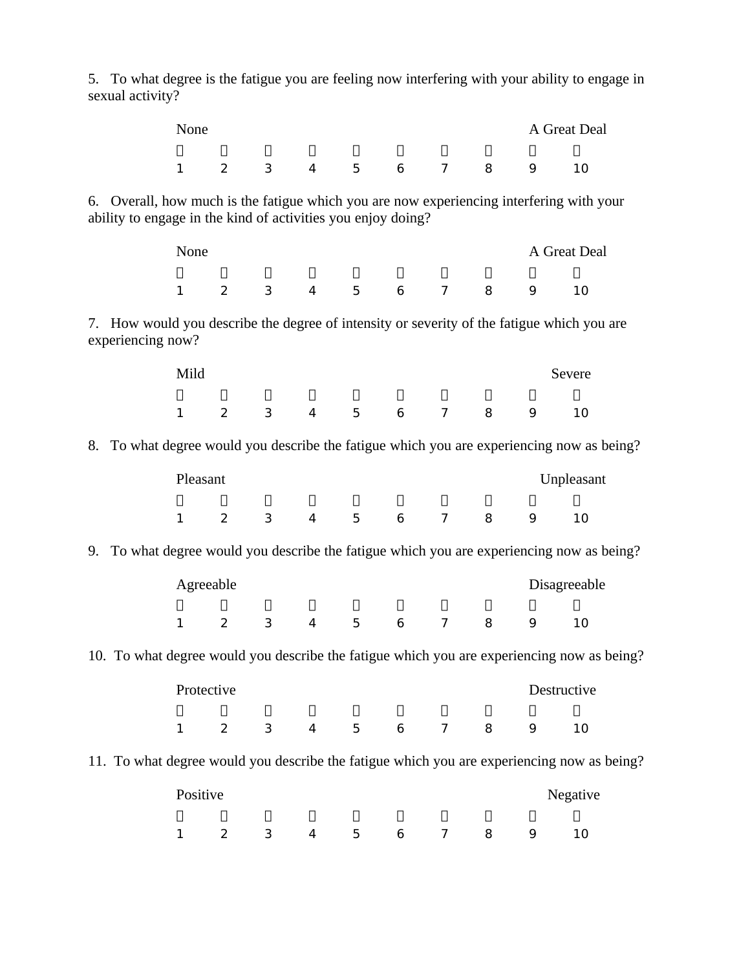| sexual activity?                                                                             |              |                            |   |                |                    |   |                |   |   | 5. To what degree is the fatigue you are feeling now interfering with your ability to engage in |  |
|----------------------------------------------------------------------------------------------|--------------|----------------------------|---|----------------|--------------------|---|----------------|---|---|-------------------------------------------------------------------------------------------------|--|
|                                                                                              | None         |                            |   | A Great Deal   |                    |   |                |   |   |                                                                                                 |  |
|                                                                                              | $\mathbf{1}$ | $\overline{2}$             | 3 | $\overline{4}$ | 5                  | 6 | $\overline{7}$ | 8 | 9 | 10                                                                                              |  |
| ability to engage in the kind of activities you enjoy doing?                                 |              |                            |   |                |                    |   |                |   |   | 6. Overall, how much is the fatigue which you are now experiencing interfering with your        |  |
|                                                                                              | None         |                            |   |                |                    |   |                |   |   | A Great Deal                                                                                    |  |
|                                                                                              | $\mathbf{1}$ | 2                          | 3 | $\overline{4}$ | 5                  | 6 | $\overline{7}$ | 8 | 9 | 10                                                                                              |  |
| experiencing now?                                                                            |              |                            |   |                |                    |   |                |   |   | 7. How would you describe the degree of intensity or severity of the fatigue which you are      |  |
|                                                                                              | Mild         |                            |   |                |                    |   |                |   |   | Severe                                                                                          |  |
|                                                                                              | $\mathbf{1}$ | $\overline{2}$             | 3 | $\overline{4}$ | 5                  | 6 | $\overline{7}$ | 8 | 9 | 10                                                                                              |  |
| 8.                                                                                           |              |                            |   |                |                    |   |                |   |   | To what degree would you describe the fatigue which you are experiencing now as being?          |  |
|                                                                                              | Pleasant     |                            |   |                |                    |   |                |   |   | Unpleasant                                                                                      |  |
|                                                                                              | 1            | 2                          | 3 | $\overline{4}$ | 5                  | 6 | $\overline{7}$ | 8 | 9 | 10                                                                                              |  |
| To what degree would you describe the fatigue which you are experiencing now as being?<br>9. |              |                            |   |                |                    |   |                |   |   |                                                                                                 |  |
|                                                                                              |              | Agreeable                  |   |                |                    |   |                |   |   | Disagreeable                                                                                    |  |
|                                                                                              |              | $\overline{\phantom{0}}^2$ | 3 | $\overline{4}$ | 5                  | 6 | $7 \t 8$       |   | 9 | 10                                                                                              |  |
| 10. To what degree would you describe the fatigue which you are experiencing now as being?   |              |                            |   |                |                    |   |                |   |   |                                                                                                 |  |
|                                                                                              |              | Protective                 |   |                |                    |   |                |   |   | Destructive                                                                                     |  |
|                                                                                              | 1            | $2^{\circ}$                |   |                | $3 \t 4 \t 5 \t 6$ |   | 7              | 8 | 9 | 10                                                                                              |  |
|                                                                                              |              |                            |   |                |                    |   |                |   |   | 11. To what degree would you describe the fatigue which you are experiencing now as being?      |  |
|                                                                                              | Positive     |                            |   |                |                    |   |                |   |   | Negative                                                                                        |  |
|                                                                                              | 1            | 2                          | 3 | 4              | 5                  | 6 | 7              | 8 | 9 | 10                                                                                              |  |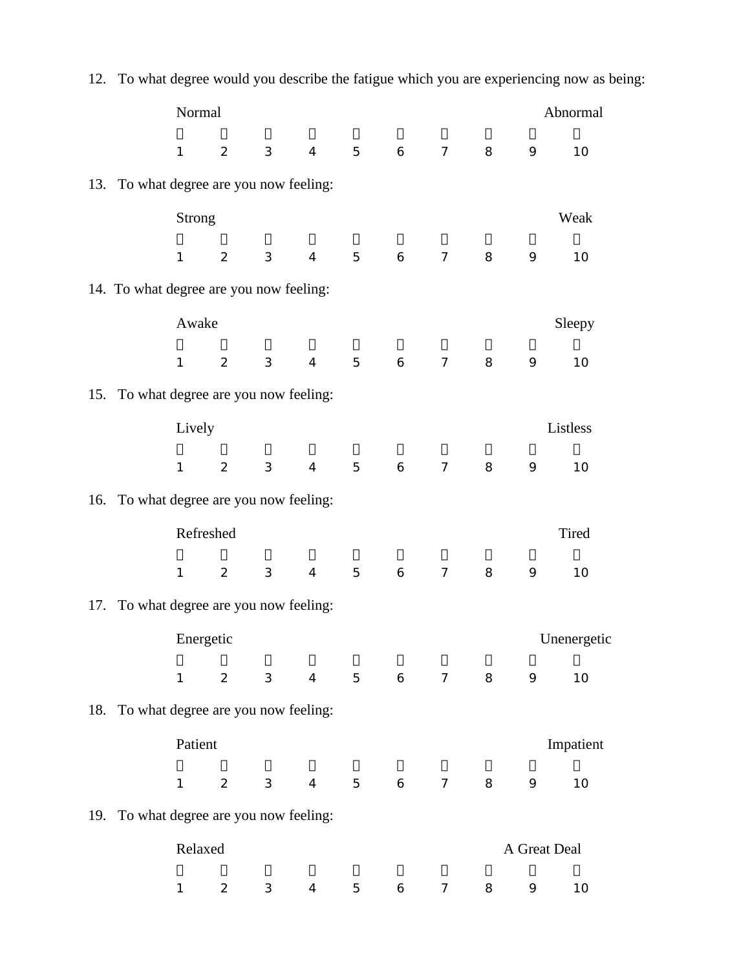|                                         |               |                                |                |                 |                      |             |                |   |              | 12. To what degree would you describe the fatigue which you are experiencing now as being: |
|-----------------------------------------|---------------|--------------------------------|----------------|-----------------|----------------------|-------------|----------------|---|--------------|--------------------------------------------------------------------------------------------|
|                                         | Normal        |                                |                |                 |                      |             |                |   |              | Abnormal                                                                                   |
|                                         | $\mathbf{1}$  | $\overline{2}$                 | $\mathfrak{Z}$ | $\overline{4}$  | 5<br>$6\overline{6}$ |             | $\overline{7}$ | 8 | 9            | 10                                                                                         |
| 13. To what degree are you now feeling: |               |                                |                |                 |                      |             |                |   |              |                                                                                            |
|                                         | <b>Strong</b> |                                |                |                 |                      |             |                |   |              | Weak                                                                                       |
|                                         | $\mathbf{1}$  | $\overline{2}$                 | 3              | $\overline{4}$  | 5                    | 6           | $\overline{7}$ | 8 | 9            | 10                                                                                         |
| 14. To what degree are you now feeling: |               |                                |                |                 |                      |             |                |   |              |                                                                                            |
|                                         | Awake         |                                |                |                 |                      |             |                |   |              | Sleepy                                                                                     |
|                                         | $\mathbf{1}$  | $\overline{2}$                 | $\mathfrak{Z}$ | $\overline{4}$  | 5                    | 6           | $\overline{7}$ | 8 | 9            | 10                                                                                         |
| 15. To what degree are you now feeling: |               |                                |                |                 |                      |             |                |   |              |                                                                                            |
|                                         | Lively        |                                |                |                 |                      |             |                |   |              | Listless                                                                                   |
|                                         | $\mathbf{1}$  | $\overline{2}$                 | $\mathfrak{Z}$ | $\overline{4}$  | 5                    | 6           | $\overline{7}$ | 8 | 9            | 10                                                                                         |
| 16. To what degree are you now feeling: |               |                                |                |                 |                      |             |                |   |              |                                                                                            |
|                                         | Refreshed     |                                |                |                 |                      |             |                |   |              | Tired                                                                                      |
|                                         | $\mathbf{1}$  | $\overline{2}$                 | $\sqrt{3}$     | $\overline{4}$  | 5                    | 6           | $\overline{7}$ | 8 | 9            | 10                                                                                         |
| 17. To what degree are you now feeling: |               |                                |                |                 |                      |             |                |   |              |                                                                                            |
|                                         | Energetic     |                                |                |                 |                      |             |                |   |              | Unenergetic                                                                                |
|                                         | $\mathbf{1}$  | $\overline{2}$                 | 3              | $4\overline{ }$ | 5 <sup>5</sup>       | $6\qquad 7$ |                | 8 | 9            | 10                                                                                         |
| 18. To what degree are you now feeling: |               |                                |                |                 |                      |             |                |   |              |                                                                                            |
|                                         | Patient       |                                |                |                 |                      |             |                |   |              | Impatient                                                                                  |
|                                         | $\mathbf{1}$  | $2 \left( \frac{1}{2} \right)$ | $3^{\circ}$    | $4\overline{ }$ |                      | 5 6         | 7              | 8 | 9            | 10                                                                                         |
| 19. To what degree are you now feeling: |               |                                |                |                 |                      |             |                |   |              |                                                                                            |
|                                         | Relaxed       |                                |                |                 |                      |             |                |   | A Great Deal |                                                                                            |
|                                         | $\mathbf{1}$  | $\overline{2}$                 | 3              | $\overline{4}$  | 5                    | 6           | $\overline{7}$ | 8 | 9            | 10                                                                                         |